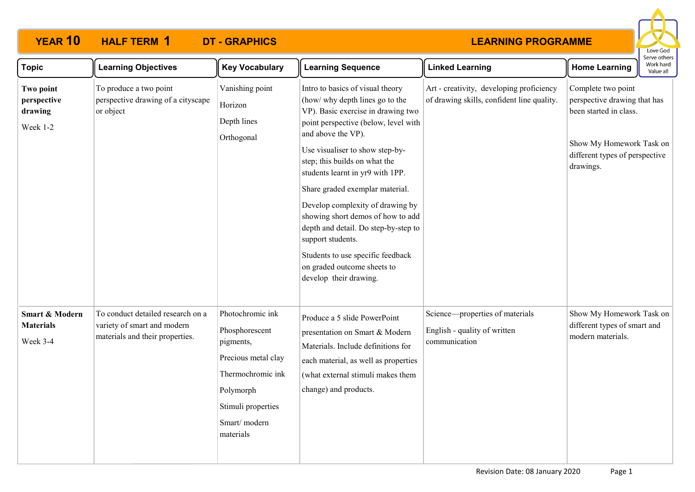## **YEAR 10 HALF TERM DT - GRAPHICS 1**

## **LEARNING PROGRAMME**



| <b>Topic</b>                                              | <b>Learning Objectives</b>                                                                          | <b>Key Vocabulary</b>                                                                                                                                       | <b>Learning Sequence</b>                                                                                                                                                                                                                                                                                                                                                                                                                                                                                                                               | <b>Linked Learning</b>                                                                 | <b>Home Learning</b>                                                                                                                                    | Serve others<br>Work hard<br>Value all |
|-----------------------------------------------------------|-----------------------------------------------------------------------------------------------------|-------------------------------------------------------------------------------------------------------------------------------------------------------------|--------------------------------------------------------------------------------------------------------------------------------------------------------------------------------------------------------------------------------------------------------------------------------------------------------------------------------------------------------------------------------------------------------------------------------------------------------------------------------------------------------------------------------------------------------|----------------------------------------------------------------------------------------|---------------------------------------------------------------------------------------------------------------------------------------------------------|----------------------------------------|
| Two point<br>perspective<br>drawing<br>Week 1-2           | To produce a two point<br>perspective drawing of a cityscape<br>or object                           | Vanishing point<br>Horizon<br>Depth lines<br>Orthogonal                                                                                                     | Intro to basics of visual theory<br>(how/ why depth lines go to the<br>VP). Basic exercise in drawing two<br>point perspective (below, level with<br>and above the VP).<br>Use visualiser to show step-by-<br>step; this builds on what the<br>students learnt in yr9 with 1PP.<br>Share graded exemplar material.<br>Develop complexity of drawing by<br>showing short demos of how to add<br>depth and detail. Do step-by-step to<br>support students.<br>Students to use specific feedback<br>on graded outcome sheets to<br>develop their drawing. | Art - creativity, developing proficiency<br>of drawing skills, confident line quality. | Complete two point<br>perspective drawing that has<br>been started in class.<br>Show My Homework Task on<br>different types of perspective<br>drawings. |                                        |
| <b>Smart &amp; Modern</b><br><b>Materials</b><br>Week 3-4 | To conduct detailed research on a<br>variety of smart and modern<br>materials and their properties. | Photochromic ink<br>Phosphorescent<br>pigments,<br>Precious metal clay<br>Thermochromic ink<br>Polymorph<br>Stimuli properties<br>Smart/modern<br>materials | Produce a 5 slide PowerPoint<br>presentation on Smart & Modern<br>Materials. Include definitions for<br>each material, as well as properties<br>(what external stimuli makes them<br>change) and products.                                                                                                                                                                                                                                                                                                                                             | Science—properties of materials<br>English - quality of written<br>communication       | Show My Homework Task on<br>different types of smart and<br>modern materials.                                                                           |                                        |